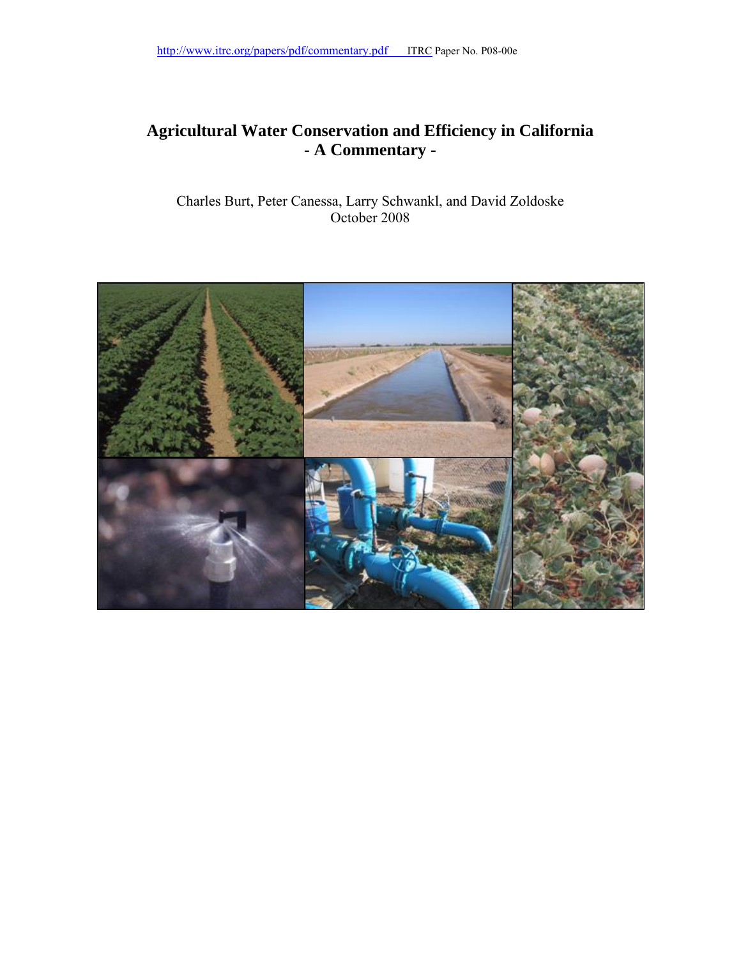#### **Agricultural Water Conservation and Efficiency in California - A Commentary -**

Charles Burt, Peter Canessa, Larry Schwankl, and David Zoldoske October 2008

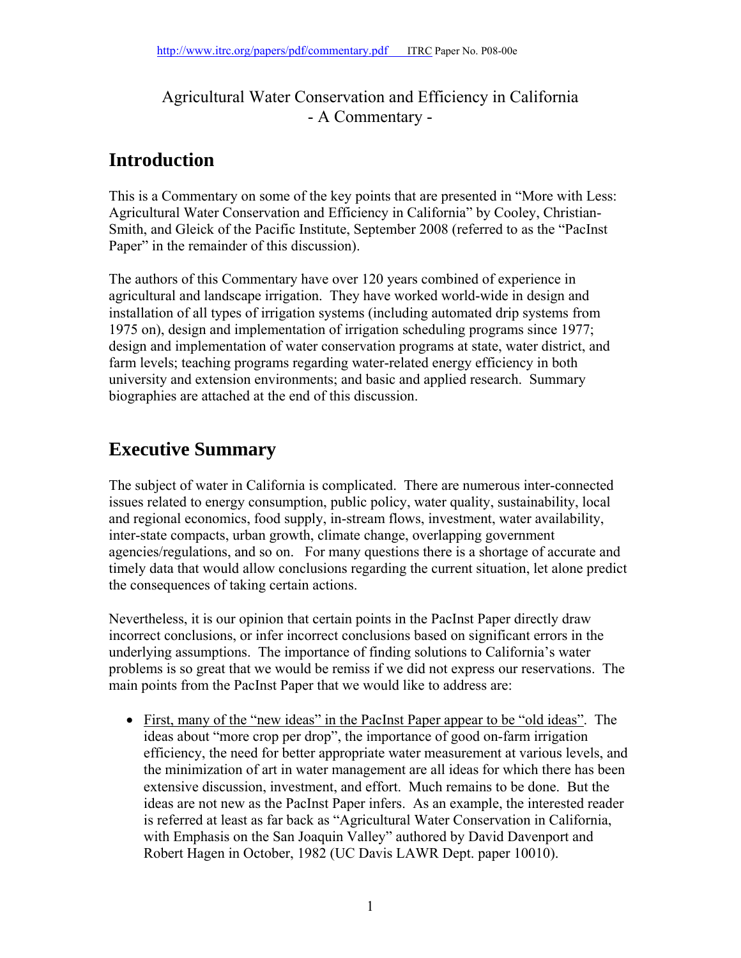#### Agricultural Water Conservation and Efficiency in California - A Commentary -

### **Introduction**

This is a Commentary on some of the key points that are presented in "More with Less: Agricultural Water Conservation and Efficiency in California" by Cooley, Christian-Smith, and Gleick of the Pacific Institute, September 2008 (referred to as the "PacInst Paper" in the remainder of this discussion).

The authors of this Commentary have over 120 years combined of experience in agricultural and landscape irrigation. They have worked world-wide in design and installation of all types of irrigation systems (including automated drip systems from 1975 on), design and implementation of irrigation scheduling programs since 1977; design and implementation of water conservation programs at state, water district, and farm levels; teaching programs regarding water-related energy efficiency in both university and extension environments; and basic and applied research. Summary biographies are attached at the end of this discussion.

## **Executive Summary**

The subject of water in California is complicated. There are numerous inter-connected issues related to energy consumption, public policy, water quality, sustainability, local and regional economics, food supply, in-stream flows, investment, water availability, inter-state compacts, urban growth, climate change, overlapping government agencies/regulations, and so on. For many questions there is a shortage of accurate and timely data that would allow conclusions regarding the current situation, let alone predict the consequences of taking certain actions.

Nevertheless, it is our opinion that certain points in the PacInst Paper directly draw incorrect conclusions, or infer incorrect conclusions based on significant errors in the underlying assumptions. The importance of finding solutions to California's water problems is so great that we would be remiss if we did not express our reservations. The main points from the PacInst Paper that we would like to address are:

• First, many of the "new ideas" in the PacInst Paper appear to be "old ideas". The ideas about "more crop per drop", the importance of good on-farm irrigation efficiency, the need for better appropriate water measurement at various levels, and the minimization of art in water management are all ideas for which there has been extensive discussion, investment, and effort. Much remains to be done. But the ideas are not new as the PacInst Paper infers. As an example, the interested reader is referred at least as far back as "Agricultural Water Conservation in California, with Emphasis on the San Joaquin Valley" authored by David Davenport and Robert Hagen in October, 1982 (UC Davis LAWR Dept. paper 10010).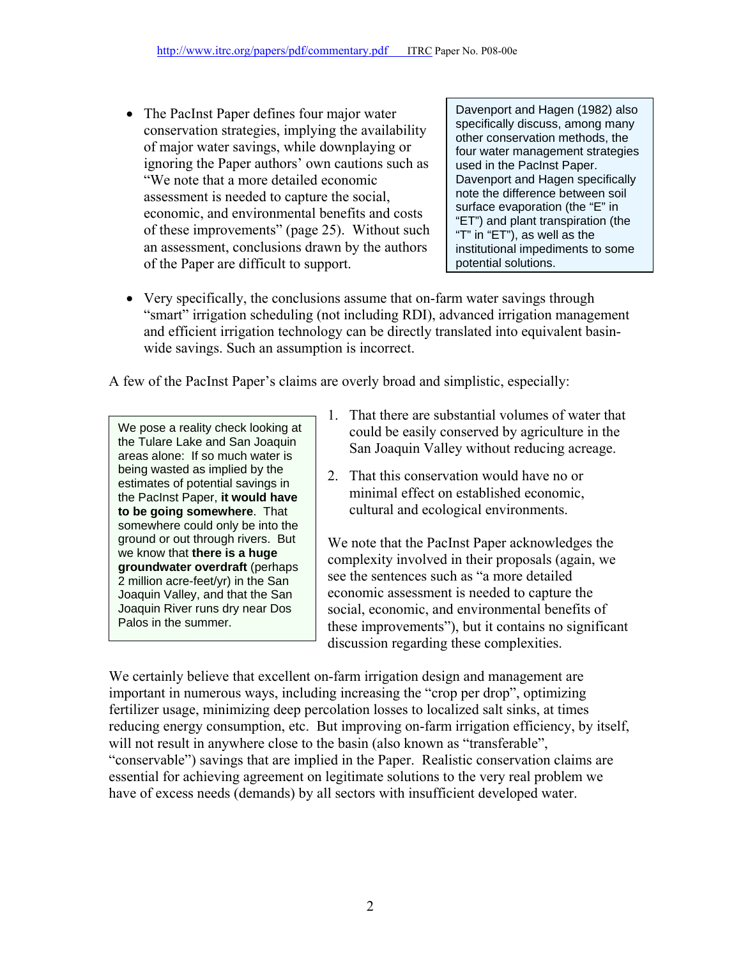• The PacInst Paper defines four major water conservation strategies, implying the availability of major water savings, while downplaying or ignoring the Paper authors' own cautions such as "We note that a more detailed economic assessment is needed to capture the social, economic, and environmental benefits and costs of these improvements" (page 25). Without such an assessment, conclusions drawn by the authors of the Paper are difficult to support.

Davenport and Hagen (1982) also specifically discuss, among many other conservation methods, the four water management strategies used in the PacInst Paper. Davenport and Hagen specifically note the difference between soil surface evaporation (the "E" in "ET") and plant transpiration (the "T" in "ET"), as well as the institutional impediments to some potential solutions.

• Very specifically, the conclusions assume that on-farm water savings through "smart" irrigation scheduling (not including RDI), advanced irrigation management and efficient irrigation technology can be directly translated into equivalent basinwide savings. Such an assumption is incorrect.

A few of the PacInst Paper's claims are overly broad and simplistic, especially:

We pose a reality check looking at the Tulare Lake and San Joaquin areas alone: If so much water is being wasted as implied by the estimates of potential savings in the PacInst Paper, **it would have to be going somewhere**. That somewhere could only be into the ground or out through rivers. But we know that **there is a huge groundwater overdraft** (perhaps 2 million acre-feet/yr) in the San Joaquin Valley, and that the San Joaquin River runs dry near Dos Palos in the summer.

- 1. That there are substantial volumes of water that could be easily conserved by agriculture in the San Joaquin Valley without reducing acreage.
- 2. That this conservation would have no or minimal effect on established economic, cultural and ecological environments.

We note that the PacInst Paper acknowledges the complexity involved in their proposals (again, we see the sentences such as "a more detailed economic assessment is needed to capture the social, economic, and environmental benefits of these improvements"), but it contains no significant discussion regarding these complexities.

We certainly believe that excellent on-farm irrigation design and management are important in numerous ways, including increasing the "crop per drop", optimizing fertilizer usage, minimizing deep percolation losses to localized salt sinks, at times reducing energy consumption, etc. But improving on-farm irrigation efficiency, by itself, will not result in anywhere close to the basin (also known as "transferable", "conservable") savings that are implied in the Paper. Realistic conservation claims are essential for achieving agreement on legitimate solutions to the very real problem we have of excess needs (demands) by all sectors with insufficient developed water.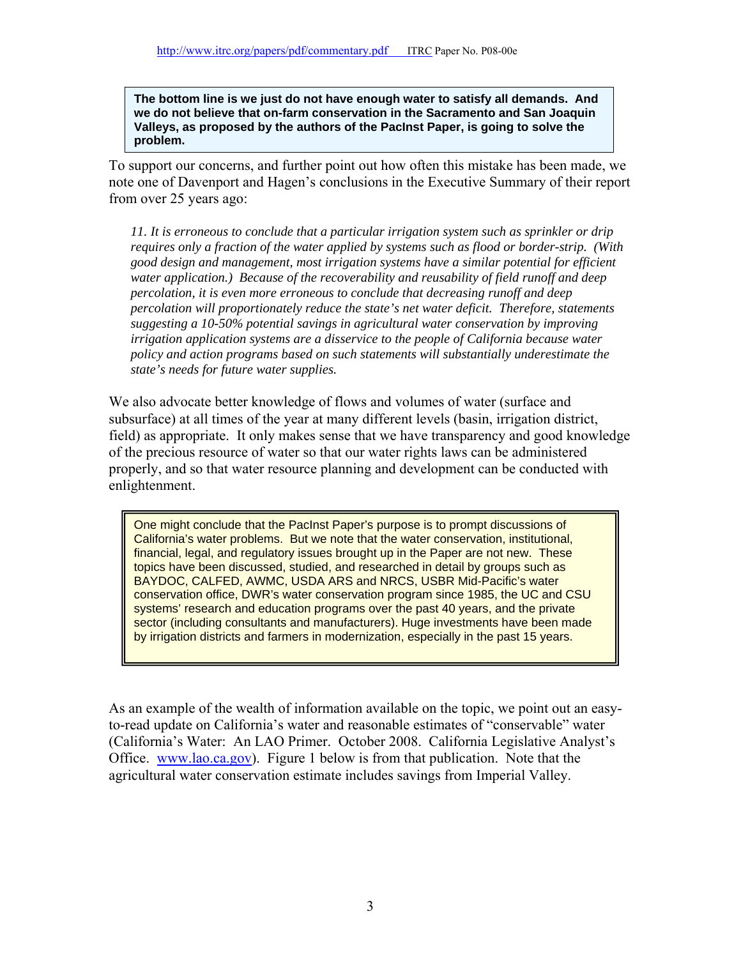**The bottom line is we just do not have enough water to satisfy all demands. And we do not believe that on-farm conservation in the Sacramento and San Joaquin Valleys, as proposed by the authors of the PacInst Paper, is going to solve the problem.** 

To support our concerns, and further point out how often this mistake has been made, we note one of Davenport and Hagen's conclusions in the Executive Summary of their report from over 25 years ago:

*11. It is erroneous to conclude that a particular irrigation system such as sprinkler or drip requires only a fraction of the water applied by systems such as flood or border-strip. (With good design and management, most irrigation systems have a similar potential for efficient water application.) Because of the recoverability and reusability of field runoff and deep percolation, it is even more erroneous to conclude that decreasing runoff and deep percolation will proportionately reduce the state's net water deficit. Therefore, statements suggesting a 10-50% potential savings in agricultural water conservation by improving irrigation application systems are a disservice to the people of California because water policy and action programs based on such statements will substantially underestimate the state's needs for future water supplies.* 

We also advocate better knowledge of flows and volumes of water (surface and subsurface) at all times of the year at many different levels (basin, irrigation district, field) as appropriate. It only makes sense that we have transparency and good knowledge of the precious resource of water so that our water rights laws can be administered properly, and so that water resource planning and development can be conducted with enlightenment.

One might conclude that the PacInst Paper's purpose is to prompt discussions of California's water problems. But we note that the water conservation, institutional, financial, legal, and regulatory issues brought up in the Paper are not new. These topics have been discussed, studied, and researched in detail by groups such as BAYDOC, CALFED, AWMC, USDA ARS and NRCS, USBR Mid-Pacific's water conservation office, DWR's water conservation program since 1985, the UC and CSU systems' research and education programs over the past 40 years, and the private sector (including consultants and manufacturers). Huge investments have been made by irrigation districts and farmers in modernization, especially in the past 15 years.

As an example of the wealth of information available on the topic, we point out an easyto-read update on California's water and reasonable estimates of "conservable" water (California's Water: An LAO Primer. October 2008. California Legislative Analyst's Office. www.lao.ca.gov). Figure 1 below is from that publication. Note that the agricultural water conservation estimate includes savings from Imperial Valley.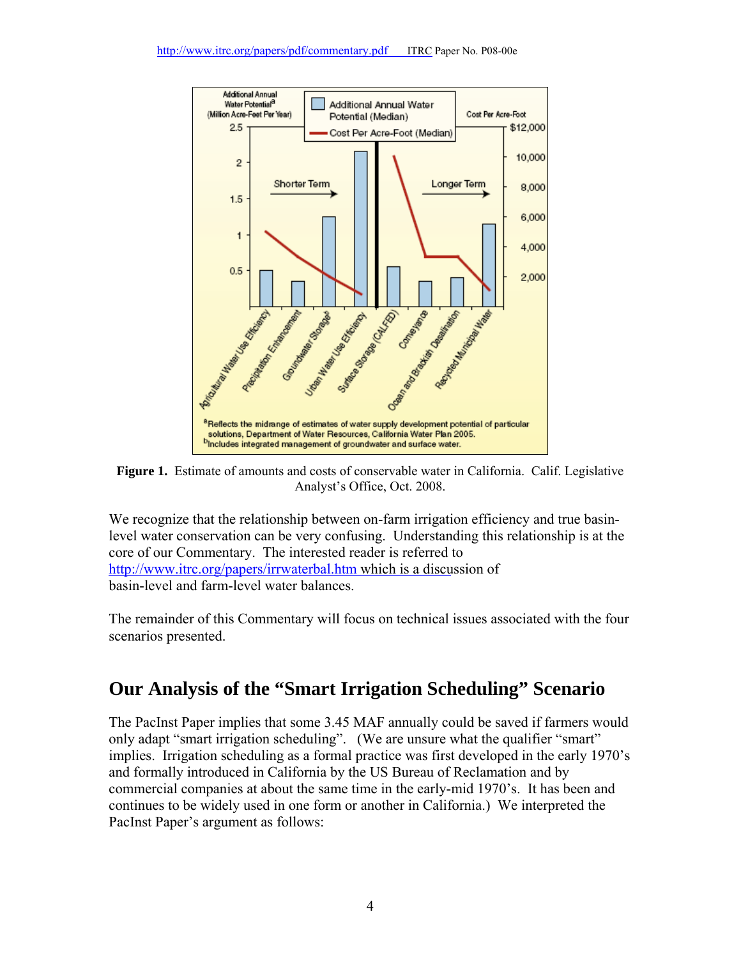

**Figure 1.** Estimate of amounts and costs of conservable water in California. Calif. Legislative Analyst's Office, Oct. 2008.

We recognize that the relationship between on-farm irrigation efficiency and true basinlevel water conservation can be very confusing. Understanding this relationship is at the core of our Commentary. The interested reader is referred to http://www.itrc.org/papers/irrwaterbal.htm which is a discussion of basin-level and farm-level water balances.

The remainder of this Commentary will focus on technical issues associated with the four scenarios presented.

### **Our Analysis of the "Smart Irrigation Scheduling" Scenario**

The PacInst Paper implies that some 3.45 MAF annually could be saved if farmers would only adapt "smart irrigation scheduling". (We are unsure what the qualifier "smart" implies. Irrigation scheduling as a formal practice was first developed in the early 1970's and formally introduced in California by the US Bureau of Reclamation and by commercial companies at about the same time in the early-mid 1970's. It has been and continues to be widely used in one form or another in California.) We interpreted the PacInst Paper's argument as follows: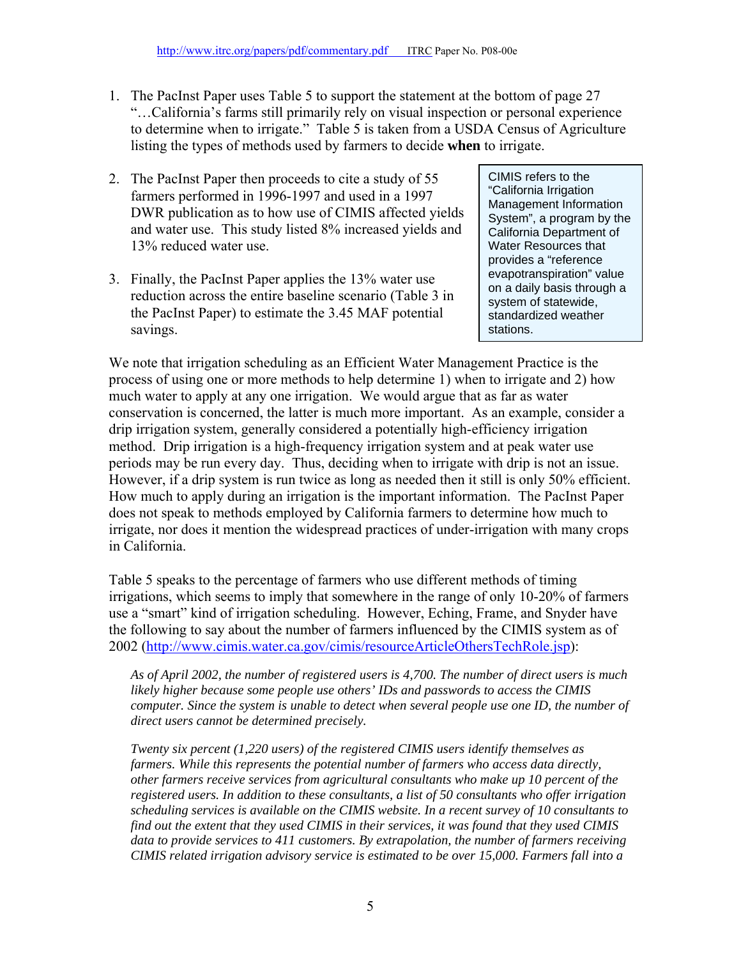- 1. The PacInst Paper uses Table 5 to support the statement at the bottom of page 27 "…California's farms still primarily rely on visual inspection or personal experience to determine when to irrigate." Table 5 is taken from a USDA Census of Agriculture listing the types of methods used by farmers to decide **when** to irrigate.
- 2. The PacInst Paper then proceeds to cite a study of 55 farmers performed in 1996-1997 and used in a 1997 DWR publication as to how use of CIMIS affected yields and water use. This study listed 8% increased yields and 13% reduced water use.
- 3. Finally, the PacInst Paper applies the 13% water use reduction across the entire baseline scenario (Table 3 in the PacInst Paper) to estimate the 3.45 MAF potential savings.

CIMIS refers to the "California Irrigation Management Information System", a program by the California Department of Water Resources that provides a "reference evapotranspiration" value on a daily basis through a system of statewide, standardized weather stations.

We note that irrigation scheduling as an Efficient Water Management Practice is the process of using one or more methods to help determine 1) when to irrigate and 2) how much water to apply at any one irrigation. We would argue that as far as water conservation is concerned, the latter is much more important. As an example, consider a drip irrigation system, generally considered a potentially high-efficiency irrigation method. Drip irrigation is a high-frequency irrigation system and at peak water use periods may be run every day. Thus, deciding when to irrigate with drip is not an issue. However, if a drip system is run twice as long as needed then it still is only 50% efficient. How much to apply during an irrigation is the important information. The PacInst Paper does not speak to methods employed by California farmers to determine how much to irrigate, nor does it mention the widespread practices of under-irrigation with many crops in California.

Table 5 speaks to the percentage of farmers who use different methods of timing irrigations, which seems to imply that somewhere in the range of only 10-20% of farmers use a "smart" kind of irrigation scheduling. However, Eching, Frame, and Snyder have the following to say about the number of farmers influenced by the CIMIS system as of 2002 (http://www.cimis.water.ca.gov/cimis/resourceArticleOthersTechRole.jsp):

*As of April 2002, the number of registered users is 4,700. The number of direct users is much likely higher because some people use others' IDs and passwords to access the CIMIS computer. Since the system is unable to detect when several people use one ID, the number of direct users cannot be determined precisely.* 

*Twenty six percent (1,220 users) of the registered CIMIS users identify themselves as farmers. While this represents the potential number of farmers who access data directly, other farmers receive services from agricultural consultants who make up 10 percent of the registered users. In addition to these consultants, a list of 50 consultants who offer irrigation scheduling services is available on the CIMIS website. In a recent survey of 10 consultants to find out the extent that they used CIMIS in their services, it was found that they used CIMIS data to provide services to 411 customers. By extrapolation, the number of farmers receiving CIMIS related irrigation advisory service is estimated to be over 15,000. Farmers fall into a*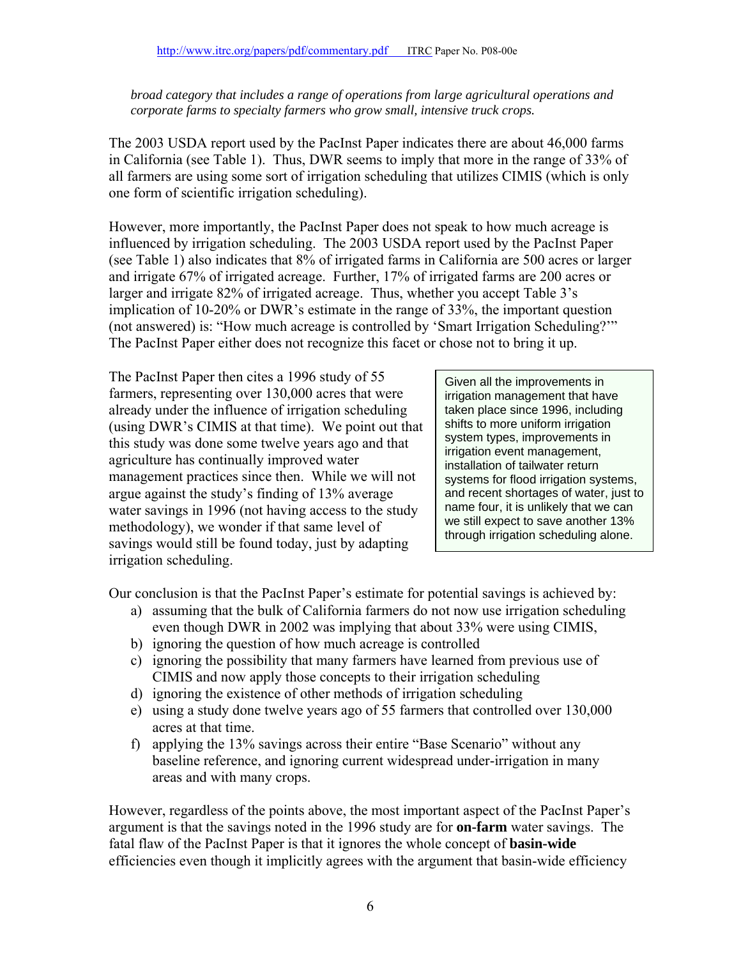*broad category that includes a range of operations from large agricultural operations and corporate farms to specialty farmers who grow small, intensive truck crops.* 

The 2003 USDA report used by the PacInst Paper indicates there are about 46,000 farms in California (see Table 1). Thus, DWR seems to imply that more in the range of 33% of all farmers are using some sort of irrigation scheduling that utilizes CIMIS (which is only one form of scientific irrigation scheduling).

However, more importantly, the PacInst Paper does not speak to how much acreage is influenced by irrigation scheduling. The 2003 USDA report used by the PacInst Paper (see Table 1) also indicates that 8% of irrigated farms in California are 500 acres or larger and irrigate 67% of irrigated acreage. Further, 17% of irrigated farms are 200 acres or larger and irrigate 82% of irrigated acreage. Thus, whether you accept Table 3's implication of 10-20% or DWR's estimate in the range of 33%, the important question (not answered) is: "How much acreage is controlled by 'Smart Irrigation Scheduling?'" The PacInst Paper either does not recognize this facet or chose not to bring it up.

The PacInst Paper then cites a 1996 study of 55 farmers, representing over 130,000 acres that were already under the influence of irrigation scheduling (using DWR's CIMIS at that time). We point out that this study was done some twelve years ago and that agriculture has continually improved water management practices since then. While we will not argue against the study's finding of 13% average water savings in 1996 (not having access to the study methodology), we wonder if that same level of savings would still be found today, just by adapting irrigation scheduling.

Given all the improvements in irrigation management that have taken place since 1996, including shifts to more uniform irrigation system types, improvements in irrigation event management, installation of tailwater return systems for flood irrigation systems, and recent shortages of water, just to name four, it is unlikely that we can we still expect to save another 13% through irrigation scheduling alone.

Our conclusion is that the PacInst Paper's estimate for potential savings is achieved by:

- a) assuming that the bulk of California farmers do not now use irrigation scheduling even though DWR in 2002 was implying that about 33% were using CIMIS,
- b) ignoring the question of how much acreage is controlled
- c) ignoring the possibility that many farmers have learned from previous use of CIMIS and now apply those concepts to their irrigation scheduling
- d) ignoring the existence of other methods of irrigation scheduling
- e) using a study done twelve years ago of 55 farmers that controlled over 130,000 acres at that time.
- f) applying the 13% savings across their entire "Base Scenario" without any baseline reference, and ignoring current widespread under-irrigation in many areas and with many crops.

However, regardless of the points above, the most important aspect of the PacInst Paper's argument is that the savings noted in the 1996 study are for **on-farm** water savings. The fatal flaw of the PacInst Paper is that it ignores the whole concept of **basin-wide** efficiencies even though it implicitly agrees with the argument that basin-wide efficiency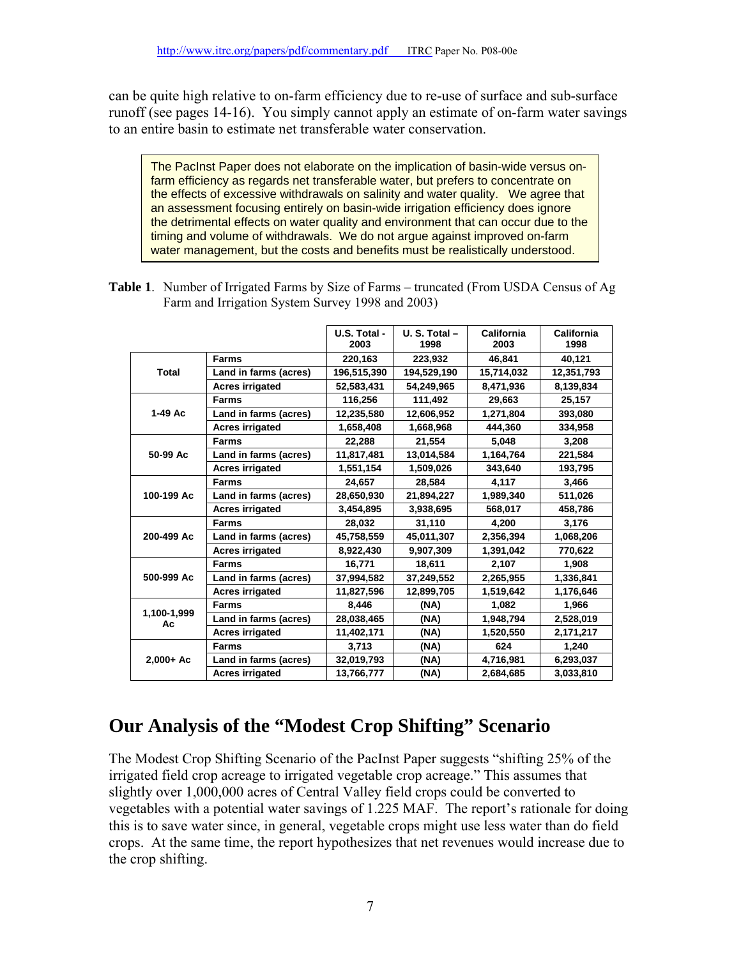can be quite high relative to on-farm efficiency due to re-use of surface and sub-surface runoff (see pages 14-16). You simply cannot apply an estimate of on-farm water savings to an entire basin to estimate net transferable water conservation.

The PacInst Paper does not elaborate on the implication of basin-wide versus onfarm efficiency as regards net transferable water, but prefers to concentrate on the effects of excessive withdrawals on salinity and water quality. We agree that an assessment focusing entirely on basin-wide irrigation efficiency does ignore the detrimental effects on water quality and environment that can occur due to the timing and volume of withdrawals. We do not argue against improved on-farm water management, but the costs and benefits must be realistically understood.

| <b>Table 1.</b> Number of Irrigated Farms by Size of Farms – truncated (From USDA Census of Ag |
|------------------------------------------------------------------------------------------------|
| Farm and Irrigation System Survey 1998 and 2003)                                               |

|                   |                        | U.S. Total -<br>2003 | $U. S. Total -$<br>1998 | California<br>2003 | California<br>1998 |
|-------------------|------------------------|----------------------|-------------------------|--------------------|--------------------|
|                   | <b>Farms</b>           | 220,163              | 223,932                 | 46,841             | 40,121             |
| <b>Total</b>      | Land in farms (acres)  | 196,515,390          | 194,529,190             | 15,714,032         | 12,351,793         |
|                   | <b>Acres irrigated</b> | 52,583,431           | 54,249,965              | 8,471,936          | 8,139,834          |
|                   | <b>Farms</b>           | 116,256              | 111.492                 | 29.663             | 25,157             |
| $1-49$ Ac         | Land in farms (acres)  | 12,235,580           | 12,606,952              | 1,271,804          | 393,080            |
|                   | <b>Acres irrigated</b> | 1,658,408            | 1,668,968               | 444,360            | 334,958            |
|                   | <b>Farms</b>           | 22,288               | 21.554                  | 5,048              | 3,208              |
| 50-99 Ac          | Land in farms (acres)  | 11,817,481           | 13,014,584              | 1,164,764          | 221,584            |
|                   | <b>Acres irrigated</b> | 1,551,154            | 1,509,026               | 343,640            | 193,795            |
|                   | <b>Farms</b>           | 24,657               | 28,584                  | 4,117              | 3,466              |
| 100-199 Ac        | Land in farms (acres)  | 28,650,930           | 21,894,227              | 1,989,340          | 511,026            |
|                   | <b>Acres irrigated</b> | 3.454.895            | 3,938,695               | 568.017            | 458,786            |
|                   | <b>Farms</b>           | 28,032               | 31,110                  | 4,200              | 3,176              |
| 200-499 Ac        | Land in farms (acres)  | 45,758,559           | 45,011,307              | 2,356,394          | 1,068,206          |
|                   | <b>Acres irrigated</b> | 8,922,430            | 9,907,309               | 1,391,042          | 770,622            |
|                   | <b>Farms</b>           | 16,771               | 18,611                  | 2,107              | 1.908              |
| 500-999 Ac        | Land in farms (acres)  | 37,994,582           | 37,249,552              | 2,265,955          | 1,336,841          |
|                   | <b>Acres irrigated</b> | 11,827,596           | 12,899,705              | 1,519,642          | 1,176,646          |
|                   | <b>Farms</b>           | 8.446                | (NA)                    | 1,082              | 1,966              |
| 1,100-1,999<br>Aс | Land in farms (acres)  | 28.038.465           | (NA)                    | 1,948,794          | 2,528,019          |
|                   | <b>Acres irrigated</b> | 11,402,171           | (NA)                    | 1,520,550          | 2,171,217          |
|                   | <b>Farms</b>           | 3,713                | (NA)                    | 624                | 1,240              |
| $2,000+$ Ac       | Land in farms (acres)  | 32,019,793           | (NA)                    | 4,716,981          | 6,293,037          |
|                   | <b>Acres irrigated</b> | 13,766,777           | (NA)                    | 2,684,685          | 3,033,810          |

### **Our Analysis of the "Modest Crop Shifting" Scenario**

The Modest Crop Shifting Scenario of the PacInst Paper suggests "shifting 25% of the irrigated field crop acreage to irrigated vegetable crop acreage." This assumes that slightly over 1,000,000 acres of Central Valley field crops could be converted to vegetables with a potential water savings of 1.225 MAF. The report's rationale for doing this is to save water since, in general, vegetable crops might use less water than do field crops. At the same time, the report hypothesizes that net revenues would increase due to the crop shifting.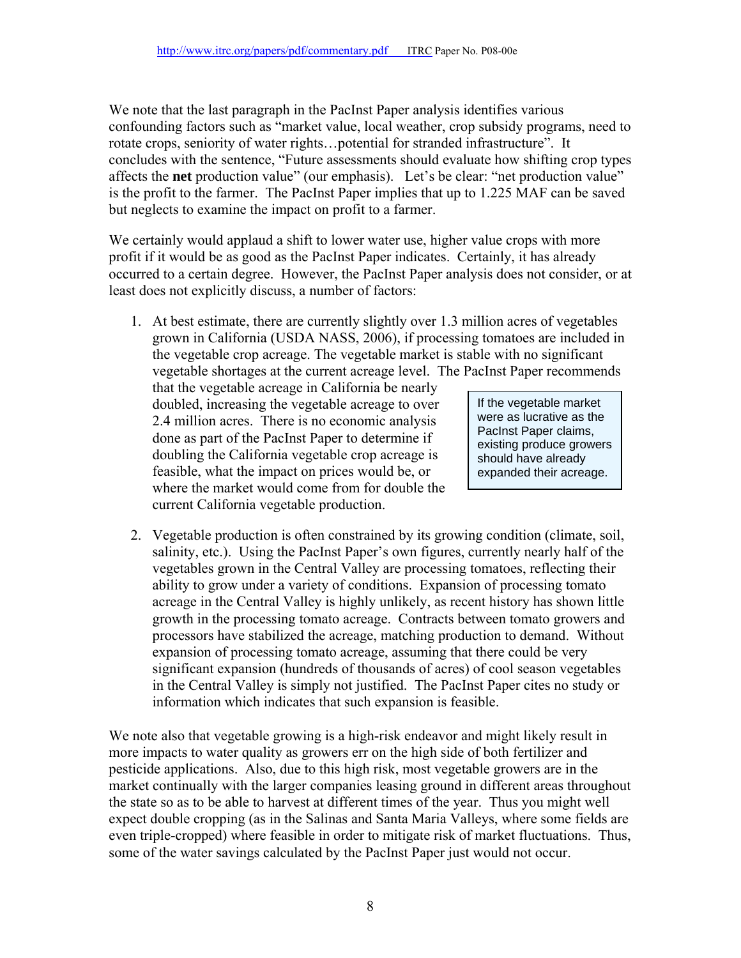We note that the last paragraph in the PacInst Paper analysis identifies various confounding factors such as "market value, local weather, crop subsidy programs, need to rotate crops, seniority of water rights…potential for stranded infrastructure". It concludes with the sentence, "Future assessments should evaluate how shifting crop types affects the **net** production value" (our emphasis). Let's be clear: "net production value" is the profit to the farmer. The PacInst Paper implies that up to 1.225 MAF can be saved but neglects to examine the impact on profit to a farmer.

We certainly would applaud a shift to lower water use, higher value crops with more profit if it would be as good as the PacInst Paper indicates. Certainly, it has already occurred to a certain degree. However, the PacInst Paper analysis does not consider, or at least does not explicitly discuss, a number of factors:

1. At best estimate, there are currently slightly over 1.3 million acres of vegetables grown in California (USDA NASS, 2006), if processing tomatoes are included in the vegetable crop acreage. The vegetable market is stable with no significant vegetable shortages at the current acreage level. The PacInst Paper recommends

that the vegetable acreage in California be nearly doubled, increasing the vegetable acreage to over 2.4 million acres. There is no economic analysis done as part of the PacInst Paper to determine if doubling the California vegetable crop acreage is feasible, what the impact on prices would be, or where the market would come from for double the current California vegetable production.

If the vegetable market were as lucrative as the PacInst Paper claims, existing produce growers should have already expanded their acreage.

2. Vegetable production is often constrained by its growing condition (climate, soil, salinity, etc.). Using the PacInst Paper's own figures, currently nearly half of the vegetables grown in the Central Valley are processing tomatoes, reflecting their ability to grow under a variety of conditions. Expansion of processing tomato acreage in the Central Valley is highly unlikely, as recent history has shown little growth in the processing tomato acreage. Contracts between tomato growers and processors have stabilized the acreage, matching production to demand. Without expansion of processing tomato acreage, assuming that there could be very significant expansion (hundreds of thousands of acres) of cool season vegetables in the Central Valley is simply not justified. The PacInst Paper cites no study or information which indicates that such expansion is feasible.

We note also that vegetable growing is a high-risk endeavor and might likely result in more impacts to water quality as growers err on the high side of both fertilizer and pesticide applications. Also, due to this high risk, most vegetable growers are in the market continually with the larger companies leasing ground in different areas throughout the state so as to be able to harvest at different times of the year. Thus you might well expect double cropping (as in the Salinas and Santa Maria Valleys, where some fields are even triple-cropped) where feasible in order to mitigate risk of market fluctuations. Thus, some of the water savings calculated by the PacInst Paper just would not occur.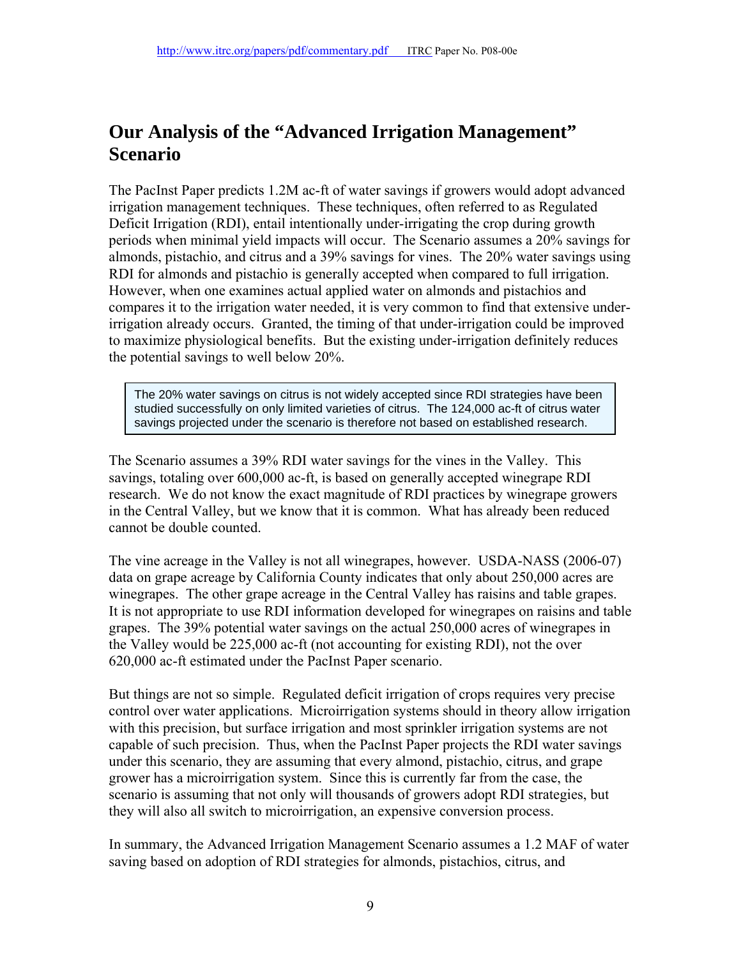### **Our Analysis of the "Advanced Irrigation Management" Scenario**

The PacInst Paper predicts 1.2M ac-ft of water savings if growers would adopt advanced irrigation management techniques. These techniques, often referred to as Regulated Deficit Irrigation (RDI), entail intentionally under-irrigating the crop during growth periods when minimal yield impacts will occur. The Scenario assumes a 20% savings for almonds, pistachio, and citrus and a 39% savings for vines. The 20% water savings using RDI for almonds and pistachio is generally accepted when compared to full irrigation. However, when one examines actual applied water on almonds and pistachios and compares it to the irrigation water needed, it is very common to find that extensive underirrigation already occurs. Granted, the timing of that under-irrigation could be improved to maximize physiological benefits. But the existing under-irrigation definitely reduces the potential savings to well below 20%.

The 20% water savings on citrus is not widely accepted since RDI strategies have been studied successfully on only limited varieties of citrus. The 124,000 ac-ft of citrus water savings projected under the scenario is therefore not based on established research.

The Scenario assumes a 39% RDI water savings for the vines in the Valley. This savings, totaling over 600,000 ac-ft, is based on generally accepted winegrape RDI research. We do not know the exact magnitude of RDI practices by winegrape growers in the Central Valley, but we know that it is common. What has already been reduced cannot be double counted.

The vine acreage in the Valley is not all winegrapes, however. USDA-NASS (2006-07) data on grape acreage by California County indicates that only about 250,000 acres are winegrapes. The other grape acreage in the Central Valley has raisins and table grapes. It is not appropriate to use RDI information developed for winegrapes on raisins and table grapes. The 39% potential water savings on the actual 250,000 acres of winegrapes in the Valley would be 225,000 ac-ft (not accounting for existing RDI), not the over 620,000 ac-ft estimated under the PacInst Paper scenario.

But things are not so simple. Regulated deficit irrigation of crops requires very precise control over water applications. Microirrigation systems should in theory allow irrigation with this precision, but surface irrigation and most sprinkler irrigation systems are not capable of such precision. Thus, when the PacInst Paper projects the RDI water savings under this scenario, they are assuming that every almond, pistachio, citrus, and grape grower has a microirrigation system. Since this is currently far from the case, the scenario is assuming that not only will thousands of growers adopt RDI strategies, but they will also all switch to microirrigation, an expensive conversion process.

In summary, the Advanced Irrigation Management Scenario assumes a 1.2 MAF of water saving based on adoption of RDI strategies for almonds, pistachios, citrus, and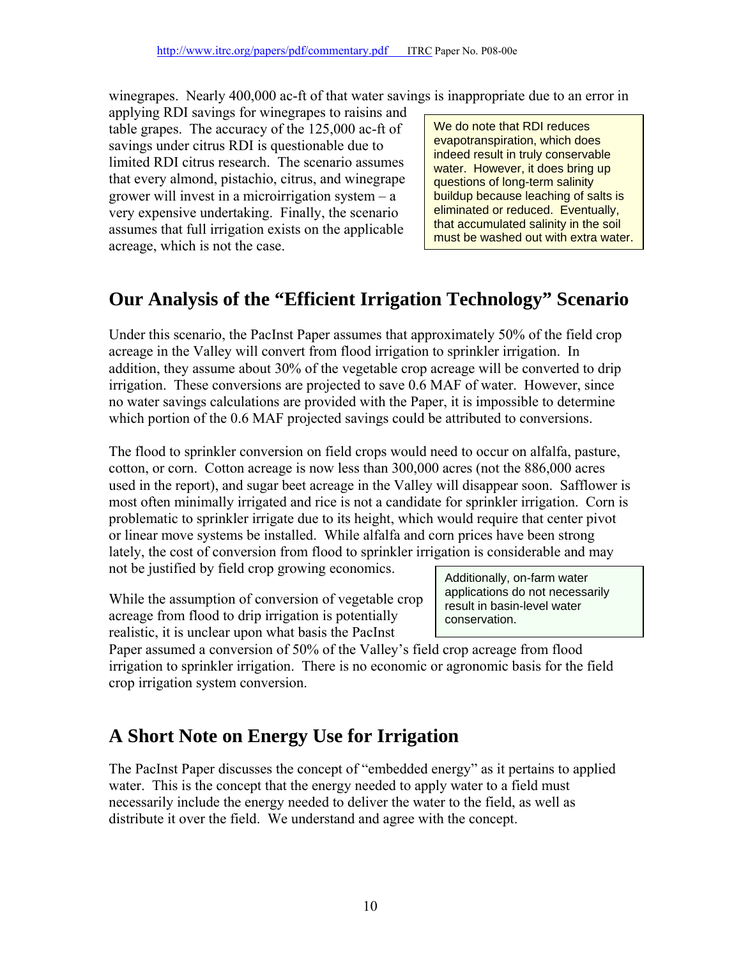winegrapes. Nearly 400,000 ac-ft of that water savings is inappropriate due to an error in

applying RDI savings for winegrapes to raisins and table grapes. The accuracy of the 125,000 ac-ft of savings under citrus RDI is questionable due to limited RDI citrus research. The scenario assumes that every almond, pistachio, citrus, and winegrape grower will invest in a microirrigation system – a very expensive undertaking. Finally, the scenario assumes that full irrigation exists on the applicable acreage, which is not the case.

We do note that RDI reduces evapotranspiration, which does indeed result in truly conservable water. However, it does bring up questions of long-term salinity buildup because leaching of salts is eliminated or reduced. Eventually, that accumulated salinity in the soil must be washed out with extra water.

# **Our Analysis of the "Efficient Irrigation Technology" Scenario**

Under this scenario, the PacInst Paper assumes that approximately 50% of the field crop acreage in the Valley will convert from flood irrigation to sprinkler irrigation. In addition, they assume about 30% of the vegetable crop acreage will be converted to drip irrigation. These conversions are projected to save 0.6 MAF of water. However, since no water savings calculations are provided with the Paper, it is impossible to determine which portion of the 0.6 MAF projected savings could be attributed to conversions.

The flood to sprinkler conversion on field crops would need to occur on alfalfa, pasture, cotton, or corn. Cotton acreage is now less than 300,000 acres (not the 886,000 acres used in the report), and sugar beet acreage in the Valley will disappear soon. Safflower is most often minimally irrigated and rice is not a candidate for sprinkler irrigation. Corn is problematic to sprinkler irrigate due to its height, which would require that center pivot or linear move systems be installed. While alfalfa and corn prices have been strong lately, the cost of conversion from flood to sprinkler irrigation is considerable and may not be justified by field crop growing economics.

While the assumption of conversion of vegetable crop acreage from flood to drip irrigation is potentially realistic, it is unclear upon what basis the PacInst

Additionally, on-farm water applications do not necessarily result in basin-level water conservation.

Paper assumed a conversion of 50% of the Valley's field crop acreage from flood irrigation to sprinkler irrigation. There is no economic or agronomic basis for the field crop irrigation system conversion.

## **A Short Note on Energy Use for Irrigation**

The PacInst Paper discusses the concept of "embedded energy" as it pertains to applied water. This is the concept that the energy needed to apply water to a field must necessarily include the energy needed to deliver the water to the field, as well as distribute it over the field. We understand and agree with the concept.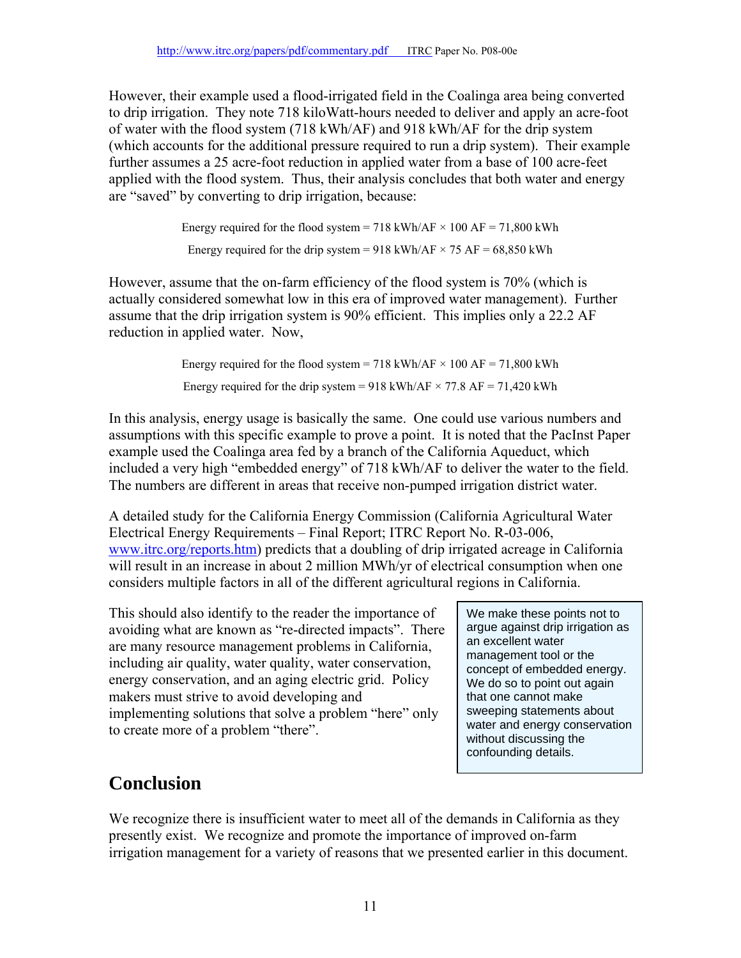However, their example used a flood-irrigated field in the Coalinga area being converted to drip irrigation. They note 718 kiloWatt-hours needed to deliver and apply an acre-foot of water with the flood system (718 kWh/AF) and 918 kWh/AF for the drip system (which accounts for the additional pressure required to run a drip system). Their example further assumes a 25 acre-foot reduction in applied water from a base of 100 acre-feet applied with the flood system. Thus, their analysis concludes that both water and energy are "saved" by converting to drip irrigation, because:

> Energy required for the flood system = 718 kWh/AF  $\times$  100 AF = 71,800 kWh Energy required for the drip system = 918 kWh/AF  $\times$  75 AF = 68,850 kWh

However, assume that the on-farm efficiency of the flood system is 70% (which is actually considered somewhat low in this era of improved water management). Further assume that the drip irrigation system is 90% efficient. This implies only a 22.2 AF reduction in applied water. Now,

> Energy required for the flood system = 718 kWh/AF  $\times$  100 AF = 71,800 kWh Energy required for the drip system = 918 kWh/AF  $\times$  77.8 AF = 71,420 kWh

In this analysis, energy usage is basically the same. One could use various numbers and assumptions with this specific example to prove a point. It is noted that the PacInst Paper example used the Coalinga area fed by a branch of the California Aqueduct, which included a very high "embedded energy" of 718 kWh/AF to deliver the water to the field. The numbers are different in areas that receive non-pumped irrigation district water.

A detailed study for the California Energy Commission (California Agricultural Water Electrical Energy Requirements – Final Report; ITRC Report No. R-03-006, www.itrc.org/reports.htm) predicts that a doubling of drip irrigated acreage in California will result in an increase in about 2 million MWh/yr of electrical consumption when one considers multiple factors in all of the different agricultural regions in California.

This should also identify to the reader the importance of avoiding what are known as "re-directed impacts". There are many resource management problems in California, including air quality, water quality, water conservation, energy conservation, and an aging electric grid. Policy makers must strive to avoid developing and implementing solutions that solve a problem "here" only to create more of a problem "there".

We make these points not to argue against drip irrigation as an excellent water management tool or the concept of embedded energy. We do so to point out again that one cannot make sweeping statements about water and energy conservation without discussing the confounding details.

# **Conclusion**

We recognize there is insufficient water to meet all of the demands in California as they presently exist. We recognize and promote the importance of improved on-farm irrigation management for a variety of reasons that we presented earlier in this document.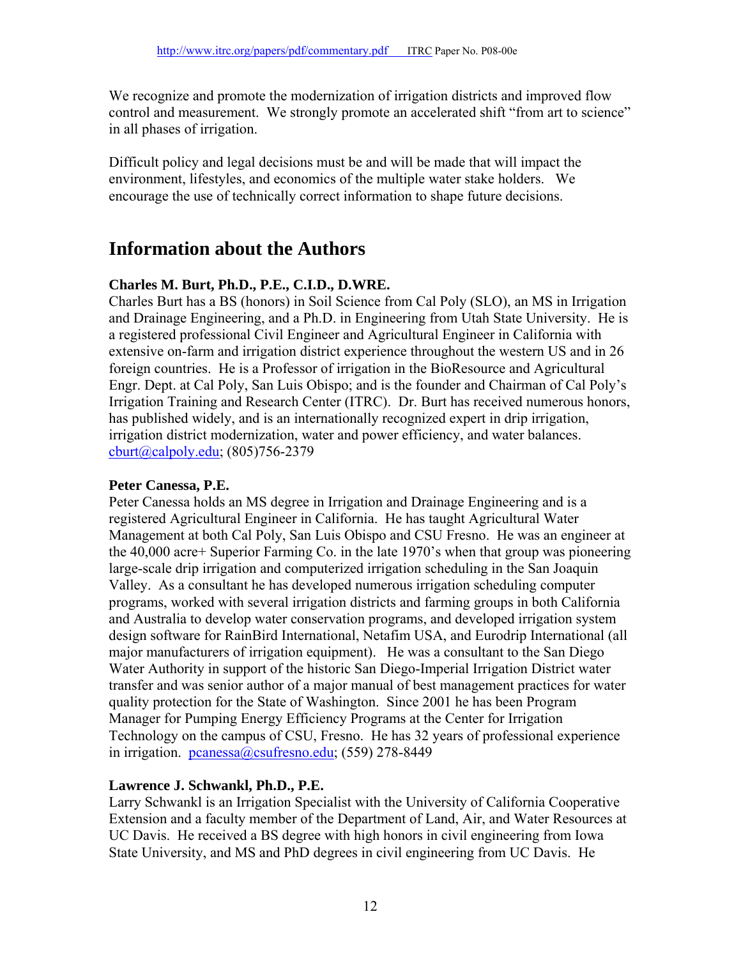We recognize and promote the modernization of irrigation districts and improved flow control and measurement. We strongly promote an accelerated shift "from art to science" in all phases of irrigation.

Difficult policy and legal decisions must be and will be made that will impact the environment, lifestyles, and economics of the multiple water stake holders. We encourage the use of technically correct information to shape future decisions.

### **Information about the Authors**

#### **Charles M. Burt, Ph.D., P.E., C.I.D., D.WRE.**

Charles Burt has a BS (honors) in Soil Science from Cal Poly (SLO), an MS in Irrigation and Drainage Engineering, and a Ph.D. in Engineering from Utah State University. He is a registered professional Civil Engineer and Agricultural Engineer in California with extensive on-farm and irrigation district experience throughout the western US and in 26 foreign countries. He is a Professor of irrigation in the BioResource and Agricultural Engr. Dept. at Cal Poly, San Luis Obispo; and is the founder and Chairman of Cal Poly's Irrigation Training and Research Center (ITRC). Dr. Burt has received numerous honors, has published widely, and is an internationally recognized expert in drip irrigation, irrigation district modernization, water and power efficiency, and water balances. cburt@calpoly.edu; (805)756-2379

#### **Peter Canessa, P.E.**

Peter Canessa holds an MS degree in Irrigation and Drainage Engineering and is a registered Agricultural Engineer in California. He has taught Agricultural Water Management at both Cal Poly, San Luis Obispo and CSU Fresno. He was an engineer at the 40,000 acre+ Superior Farming Co. in the late 1970's when that group was pioneering large-scale drip irrigation and computerized irrigation scheduling in the San Joaquin Valley. As a consultant he has developed numerous irrigation scheduling computer programs, worked with several irrigation districts and farming groups in both California and Australia to develop water conservation programs, and developed irrigation system design software for RainBird International, Netafim USA, and Eurodrip International (all major manufacturers of irrigation equipment). He was a consultant to the San Diego Water Authority in support of the historic San Diego-Imperial Irrigation District water transfer and was senior author of a major manual of best management practices for water quality protection for the State of Washington. Since 2001 he has been Program Manager for Pumping Energy Efficiency Programs at the Center for Irrigation Technology on the campus of CSU, Fresno. He has 32 years of professional experience in irrigation. pcanessa@csufresno.edu; (559) 278-8449

#### **Lawrence J. Schwankl, Ph.D., P.E.**

Larry Schwankl is an Irrigation Specialist with the University of California Cooperative Extension and a faculty member of the Department of Land, Air, and Water Resources at UC Davis. He received a BS degree with high honors in civil engineering from Iowa State University, and MS and PhD degrees in civil engineering from UC Davis. He